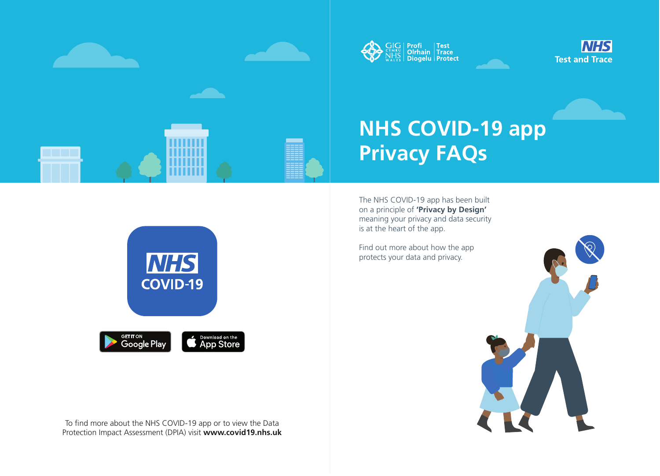

# **NHS COVID-19 app Privacy FAQs**

The NHS COVID-19 app has been built on a principle of **'Privacy by Design'** meaning your privacy and data security is at the heart of the app.

**CIC Profi Test<br>NHS Olrhain Trace<br>WALES Diogelu Protect** 

To find more about the NHS COVID-19 app or to view the Data Protection Impact Assessment (DPIA) visit **www.covid19.nhs.uk**







Find out more about how the app protects your data and privacy.



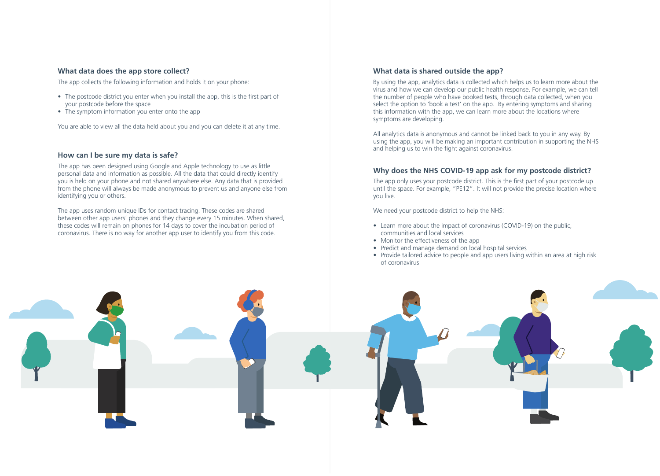#### **What data does the app store collect?**

The app collects the following information and holds it on your phone:

- The postcode district you enter when you install the app, this is the first part of your postcode before the space
- The symptom information you enter onto the app

You are able to view all the data held about you and you can delete it at any time.

## **How can I be sure my data is safe?**

The app has been designed using Google and Apple technology to use as little personal data and information as possible. All the data that could directly identify you is held on your phone and not shared anywhere else. Any data that is provided from the phone will always be made anonymous to prevent us and anyone else from identifying you or others.

The app only uses your postcode district. This is the first part of your postcode up until the space. For example, "PE12". It will not provide the precise location where you live.

The app uses random unique IDs for contact tracing. These codes are shared between other app users' phones and they change every 15 minutes. When shared, these codes will remain on phones for 14 days to cover the incubation period of coronavirus. There is no way for another app user to identify you from this code.

All analytics data is anonymous and cannot be linked back to you in any way. By using the app, you will be making an important contribution in supporting the NHS and helping us to win the fight against coronavirus.

# **Why does the NHS COVID-19 app ask for my postcode district?**

We need your postcode district to help the NHS:

- Learn more about the impact of coronavirus (COVID-19) on the public, communities and local services
- Monitor the effectiveness of the app
- Predict and manage demand on local hospital services
- of coronavirus



• Provide tailored advice to people and app users living within an area at high risk

# **What data is shared outside the app?**

By using the app, analytics data is collected which helps us to learn more about the virus and how we can develop our public health response. For example, we can tell the number of people who have booked tests, through data collected, when you select the option to 'book a test' on the app. By entering symptoms and sharing this information with the app, we can learn more about the locations where symptoms are developing.